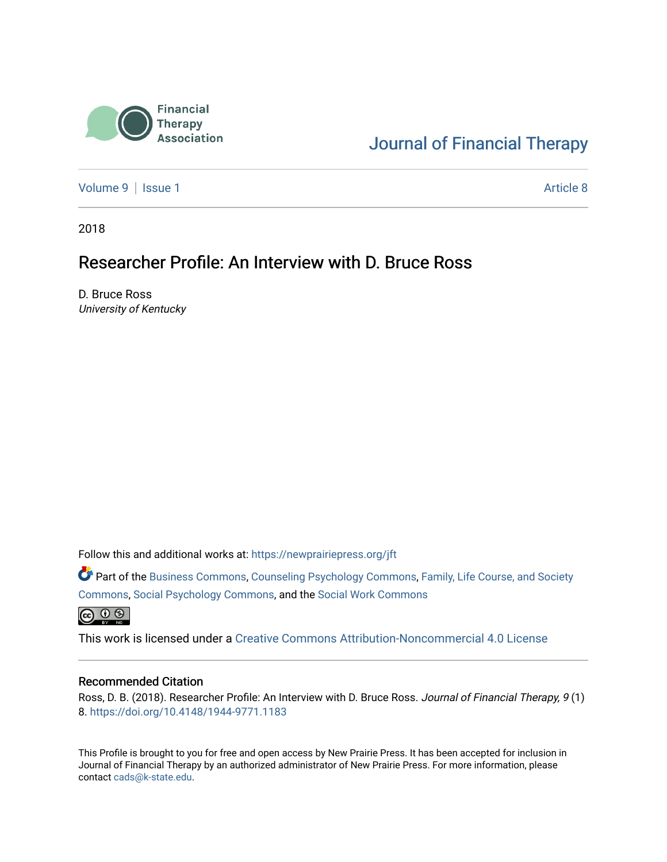

# [Journal of Financial Therapy](https://newprairiepress.org/jft)

[Volume 9](https://newprairiepress.org/jft/vol9) | [Issue 1](https://newprairiepress.org/jft/vol9/iss1) Article 8

2018

# Researcher Profile: An Interview with D. Bruce Ross

D. Bruce Ross University of Kentucky

Follow this and additional works at: [https://newprairiepress.org/jft](https://newprairiepress.org/jft?utm_source=newprairiepress.org%2Fjft%2Fvol9%2Fiss1%2F8&utm_medium=PDF&utm_campaign=PDFCoverPages)

Part of the [Business Commons](http://network.bepress.com/hgg/discipline/622?utm_source=newprairiepress.org%2Fjft%2Fvol9%2Fiss1%2F8&utm_medium=PDF&utm_campaign=PDFCoverPages), [Counseling Psychology Commons,](http://network.bepress.com/hgg/discipline/1044?utm_source=newprairiepress.org%2Fjft%2Fvol9%2Fiss1%2F8&utm_medium=PDF&utm_campaign=PDFCoverPages) [Family, Life Course, and Society](http://network.bepress.com/hgg/discipline/419?utm_source=newprairiepress.org%2Fjft%2Fvol9%2Fiss1%2F8&utm_medium=PDF&utm_campaign=PDFCoverPages)  [Commons](http://network.bepress.com/hgg/discipline/419?utm_source=newprairiepress.org%2Fjft%2Fvol9%2Fiss1%2F8&utm_medium=PDF&utm_campaign=PDFCoverPages), [Social Psychology Commons,](http://network.bepress.com/hgg/discipline/414?utm_source=newprairiepress.org%2Fjft%2Fvol9%2Fiss1%2F8&utm_medium=PDF&utm_campaign=PDFCoverPages) and the [Social Work Commons](http://network.bepress.com/hgg/discipline/713?utm_source=newprairiepress.org%2Fjft%2Fvol9%2Fiss1%2F8&utm_medium=PDF&utm_campaign=PDFCoverPages) 

 $\bigoplus$   $\bigoplus$   $\bigoplus$ 

This work is licensed under a [Creative Commons Attribution-Noncommercial 4.0 License](https://creativecommons.org/licenses/by-nc/4.0/)

#### Recommended Citation

Ross, D. B. (2018). Researcher Profile: An Interview with D. Bruce Ross. Journal of Financial Therapy, 9 (1) 8. <https://doi.org/10.4148/1944-9771.1183>

This Profile is brought to you for free and open access by New Prairie Press. It has been accepted for inclusion in Journal of Financial Therapy by an authorized administrator of New Prairie Press. For more information, please contact [cads@k-state.edu](mailto:cads@k-state.edu).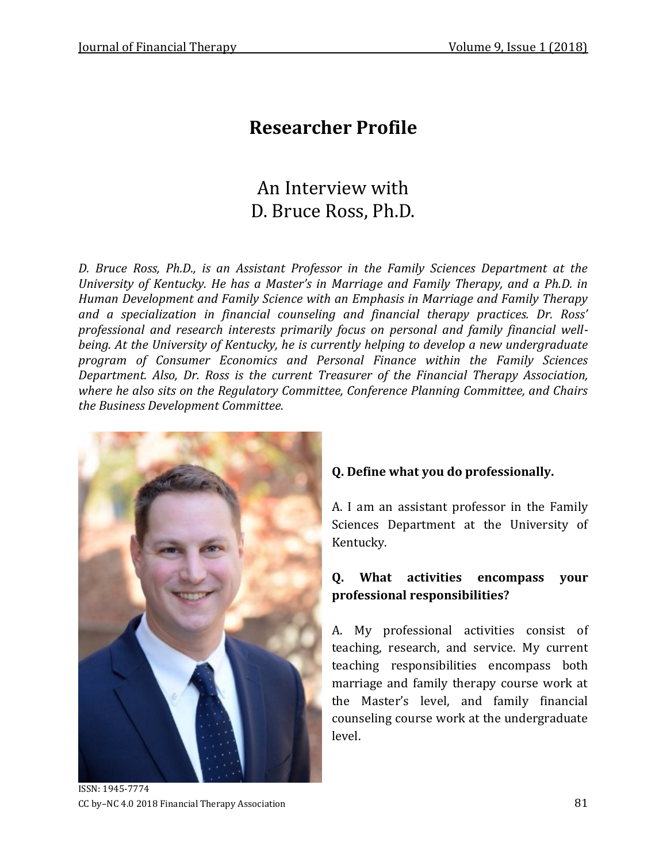# **Researcher Profile**

# An Interview with D. Bruce Ross, Ph.D.

*D. Bruce Ross, Ph.D., is an Assistant Professor in the Family Sciences Department at the University of Kentucky. He has a Master's in Marriage and Family Therapy, and a Ph.D. in Human Development and Family Science with an Emphasis in Marriage and Family Therapy and a specialization in financial counseling and financial therapy practices. Dr. Ross' professional and research interests primarily focus on personal and family financial wellbeing. At the University of Kentucky, he is currently helping to develop a new undergraduate program of Consumer Economics and Personal Finance within the Family Sciences Department. Also, Dr. Ross is the current Treasurer of the Financial Therapy Association, where he also sits on the Regulatory Committee, Conference Planning Committee, and Chairs the Business Development Committee.* 



#### **Q. Define what you do professionally.**

A. I am an assistant professor in the Family Sciences Department at the University of Kentucky.

#### **Q. What activities encompass your professional responsibilities?**

A. My professional activities consist of teaching, research, and service. My current teaching responsibilities encompass both marriage and family therapy course work at the Master's level, and family financial counseling course work at the undergraduate level.

ISSN: 1945-7774 CC by–NC 4.0 2018 Financial Therapy Association 81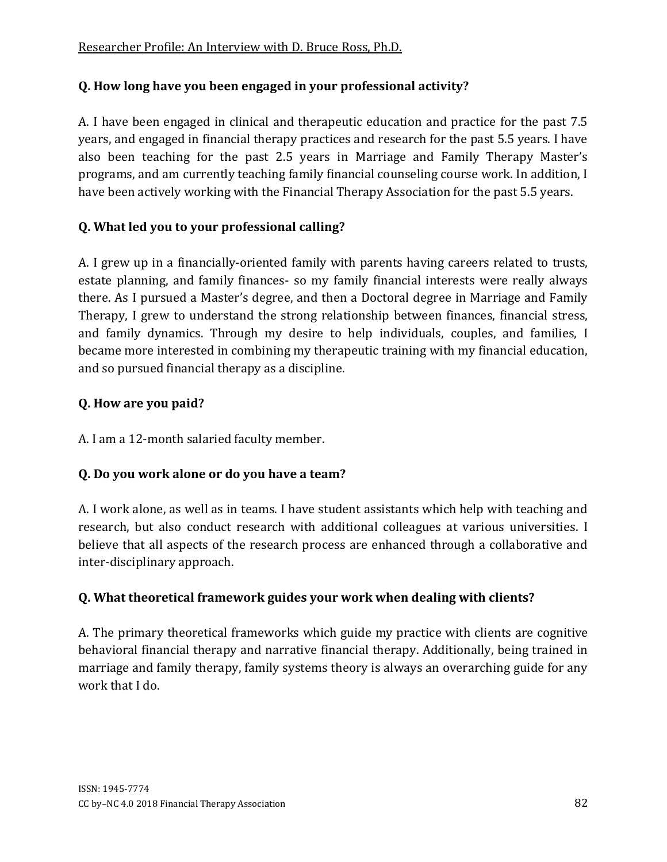### **Q. How long have you been engaged in your professional activity?**

A. I have been engaged in clinical and therapeutic education and practice for the past 7.5 years, and engaged in financial therapy practices and research for the past 5.5 years. I have also been teaching for the past 2.5 years in Marriage and Family Therapy Master's programs, and am currently teaching family financial counseling course work. In addition, I have been actively working with the Financial Therapy Association for the past 5.5 years.

## **Q. What led you to your professional calling?**

A. I grew up in a financially-oriented family with parents having careers related to trusts, estate planning, and family finances- so my family financial interests were really always there. As I pursued a Master's degree, and then a Doctoral degree in Marriage and Family Therapy, I grew to understand the strong relationship between finances, financial stress, and family dynamics. Through my desire to help individuals, couples, and families, I became more interested in combining my therapeutic training with my financial education, and so pursued financial therapy as a discipline.

### **Q. How are you paid?**

A. I am a 12-month salaried faculty member.

# **Q. Do you work alone or do you have a team?**

A. I work alone, as well as in teams. I have student assistants which help with teaching and research, but also conduct research with additional colleagues at various universities. I believe that all aspects of the research process are enhanced through a collaborative and inter-disciplinary approach.

# **Q. What theoretical framework guides your work when dealing with clients?**

A. The primary theoretical frameworks which guide my practice with clients are cognitive behavioral financial therapy and narrative financial therapy. Additionally, being trained in marriage and family therapy, family systems theory is always an overarching guide for any work that I do.